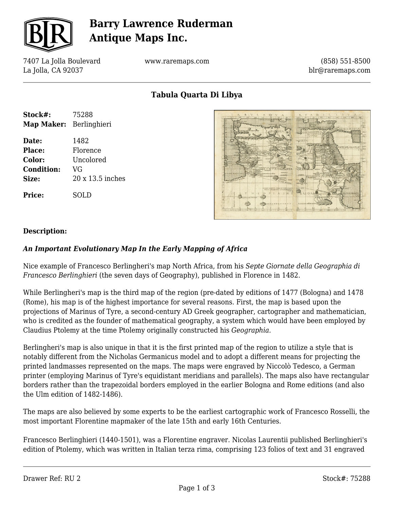

## **Barry Lawrence Ruderman Antique Maps Inc.**

7407 La Jolla Boulevard La Jolla, CA 92037

www.raremaps.com

(858) 551-8500 blr@raremaps.com

**Tabula Quarta Di Libya**

| Stock#:                 | 75288            |
|-------------------------|------------------|
| Map Maker: Berlinghieri |                  |
| Date:                   | 1482             |
| Place:                  | Florence         |
| Color:                  | Uncolored        |
| <b>Condition:</b>       | VG               |
| Size:                   | 20 x 13.5 inches |
| Price:                  | SOLD             |



### **Description:**

### *An Important Evolutionary Map In the Early Mapping of Africa*

Nice example of Francesco Berlingheri's map North Africa, from his *Septe Giornate della Geographia di Francesco Berlinghieri* (the seven days of Geography), published in Florence in 1482.

While Berlingheri's map is the third map of the region (pre-dated by editions of 1477 (Bologna) and 1478 (Rome), his map is of the highest importance for several reasons. First, the map is based upon the projections of Marinus of Tyre, a second-century AD Greek geographer, cartographer and mathematician, who is credited as the founder of mathematical geography, a system which would have been employed by Claudius Ptolemy at the time Ptolemy originally constructed his *Geographia.*

Berlingheri's map is also unique in that it is the first printed map of the region to utilize a style that is notably different from the Nicholas Germanicus model and to adopt a different means for projecting the printed landmasses represented on the maps. The maps were engraved by Niccolò Tedesco, a German printer (employing Marinus of Tyre's equidistant meridians and parallels). The maps also have rectangular borders rather than the trapezoidal borders employed in the earlier Bologna and Rome editions (and also the Ulm edition of 1482-1486).

The maps are also believed by some experts to be the earliest cartographic work of Francesco Rosselli, the most important Florentine mapmaker of the late 15th and early 16th Centuries.

Francesco Berlinghieri (1440-1501), was a Florentine engraver. Nicolas Laurentii published Berlinghieri's edition of Ptolemy, which was written in Italian terza rima, comprising 123 folios of text and 31 engraved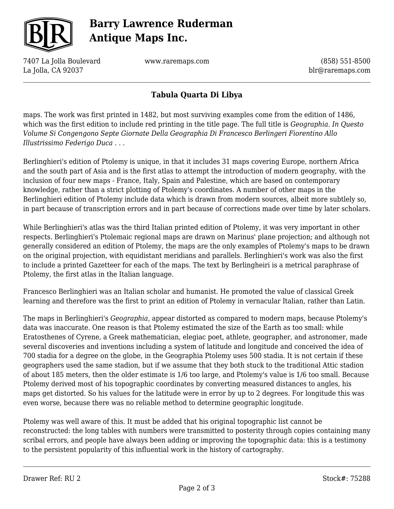

# **Barry Lawrence Ruderman Antique Maps Inc.**

7407 La Jolla Boulevard La Jolla, CA 92037

www.raremaps.com

(858) 551-8500 blr@raremaps.com

### **Tabula Quarta Di Libya**

maps. The work was first printed in 1482, but most surviving examples come from the edition of 1486, which was the first edition to include red printing in the title page. The full title is *Geographia. In Questo Volume Si Congengono Septe Giornate Della Geographia Di Francesco Berlingeri Fiorentino Allo Illustrissimo Federigo Duca . . .*

Berlinghieri's edition of Ptolemy is unique, in that it includes 31 maps covering Europe, northern Africa and the south part of Asia and is the first atlas to attempt the introduction of modern geography, with the inclusion of four new maps - France, Italy, Spain and Palestine, which are based on contemporary knowledge, rather than a strict plotting of Ptolemy's coordinates. A number of other maps in the Berlinghieri edition of Ptolemy include data which is drawn from modern sources, albeit more subtlely so, in part because of transcription errors and in part because of corrections made over time by later scholars.

While Berlinghieri's atlas was the third Italian printed edition of Ptolemy, it was very important in other respects. Berlinghieri's Ptolemaic regional maps are drawn on Marinus' plane projection; and although not generally considered an edition of Ptolemy, the maps are the only examples of Ptolemy's maps to be drawn on the original projection, with equidistant meridians and parallels. Berlinghieri's work was also the first to include a printed Gazetteer for each of the maps. The text by Berlingheiri is a metrical paraphrase of Ptolemy, the first atlas in the Italian language.

Francesco Berlinghieri was an Italian scholar and humanist. He promoted the value of classical Greek learning and therefore was the first to print an edition of Ptolemy in vernacular Italian, rather than Latin.

The maps in Berlinghieri's *Geographia,* appear distorted as compared to modern maps, because Ptolemy's data was inaccurate. One reason is that Ptolemy estimated the size of the Earth as too small: while Eratosthenes of Cyrene, a Greek mathematician, elegiac poet, athlete, geographer, and astronomer, made several discoveries and inventions including a system of latitude and longitude and conceived the idea of 700 stadia for a degree on the globe, in the Geographia Ptolemy uses 500 stadia. It is not certain if these geographers used the same stadion, but if we assume that they both stuck to the traditional Attic stadion of about 185 meters, then the older estimate is 1/6 too large, and Ptolemy's value is 1/6 too small. Because Ptolemy derived most of his topographic coordinates by converting measured distances to angles, his maps get distorted. So his values for the latitude were in error by up to 2 degrees. For longitude this was even worse, because there was no reliable method to determine geographic longitude.

Ptolemy was well aware of this. It must be added that his original topographic list cannot be reconstructed: the long tables with numbers were transmitted to posterity through copies containing many scribal errors, and people have always been adding or improving the topographic data: this is a testimony to the persistent popularity of this influential work in the history of cartography.